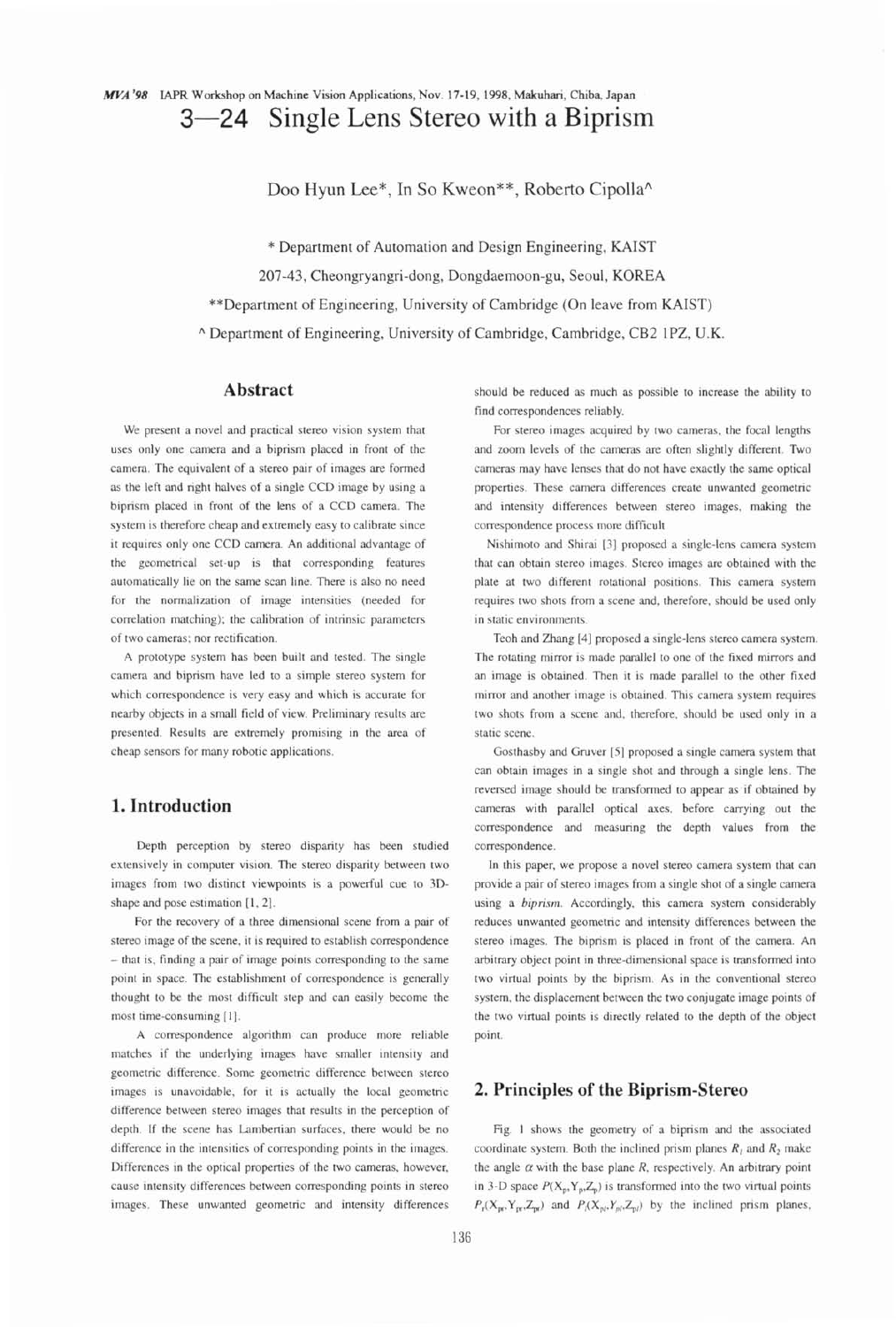# Doo Hyun Lee\*, In So Kweon\*\*, Roberto Cipolla^

\* Department of Automation and Design Engineering, KAIST

207-43, Cheongryangri-dong, Dongdaemoon-gu, Seoul, KOREA

\*\*Department of Engineering, University of Cambridge (On leave from KAIST)

**<sup>A</sup>**Department of Engineering, University of Cambridge, Cambridge, CB2 IPZ, U.K.

#### **Abstract**

We present a novel and practical stereo vision system that uses only one camera and a biprism placed in front of the camera. The equivalent of a stereo pair of images are formed as the left and right halves of a single CCD image by using a biprism placed in front of the lens of a CCD camera. The system is therefore cheap and extremely easy to calibrate since it requires only one CCD camera. An additional advantage of the geometrical set-up is that corresponding features automatically lie on the same scan line. There is also no need for the normalization of image intensities (needed for correlation matching); the calibration of intrinsic parameters of two cameras; nor rectification.

A prototype system has been built and tested. The single camera and biprism have led to a simple stereo system for which correspondence is very easy and which is accurate for nearby objects in a small field of view. Preliminary results are presented. Results are extremely promising in the area of cheap sensors for many robotic applications.

## **1. Introduction**

Depth perception by stereo disparity has been studied extensively in computer vision. The stereo disparity between two images from two distinct viewpoints is a powerful cue to 3Dshape and pose estimation **[I, 21.** 

For the recovery of a three dimensional scene from a pair of stereo image of the scene, it is required to establish correspondence - that is, finding a pair of image points corresponding to the same point in space. The establishment of correspondence is generally thought to be the most difficult step and can easily become the most time-consuming [I].

A correspondence algorithm can produce more reliable matches if the underlying images have smaller intensity and geometric difference. Some geometric difference between stereo images is unavoidable, for it is actually the local geometric difference between stereo images that results in the perception of depth. If the scene has Lambertian surfaces, there would be no difference in the intensities of corresponding points in the images. Differences in the optical properties of the two cameras. however, cause intensity differences between corresponding points in stereo images. These unwanted geometric and intensity differences should be reduced as much as possible to increase the ability to find correspondences reliably.

For stereo images acquired by two cameras, the focal lengths and zoom levels of the cameras are often slightly different. Two cameras may have lenses that do not have exactly the same optical properties. These camera differences create unwanted geometric and intensity differences between stereo images. making the correspondence process more difficult

Nishimoto and Shirai [3] proposed a single-lens camera system that can obtain stereo images. Stereo images are obtained with the plate at two different rotational positions. This camera system requires two shots from a scene and, therefore, should be used only in static environments.

Teoh and Zhang [4] proposed a single-lens stereo camera system. The rotating mirror is made parallel to one of the fixed mirrors and an image is obtained. Then it is made parallel to the other fixed mirror and another image is obtained. This camera system requires two shots from a scene and, therefore, should be used only in a static scene.

Gosthasby and Gruver [5] proposed a single camera system that can obtain images in a single shot and through a single lens. The reversed image should be transformed to appear as if obtained by cameras with parallel optical axes, before carrying out the correspondence and measuring the depth values from the correspondence.

In this paper, we propose a novel stereo camera system that can provide a pair of stereo images from a single shot of a single camera using a biprism. Accordingly, this camera system considerably reduces unwanted geometric and intensity differences between the stereo images. The biprism is placed in front of the camera. An arbitrary object point in three-dimensional space is transformed into two virtual points by the biprism. As in the conventional stereo system, the displacement between the two conjugate image points of the two virtual points is directly related to the depth of the object point.

## **2. Principles of the Biprism-Stereo**

Fig. I shows the geometry of a biprism and the associated coordinate system. Both the inclined prism planes  $R_1$  and  $R_2$  make the angle  $\alpha$  with the base plane R, respectively. An arbitrary point in 3-D space  $P(X_n, Y_n, Z_n)$  is transformed into the two virtual points  $P_r(X_{\text{pr}}, Y_{\text{pr}}, Z_{\text{pr}})$  and  $P_r(X_{\text{pr}}, Y_{\text{pr}}, Z_{\text{pr}})$  by the inclined prism planes.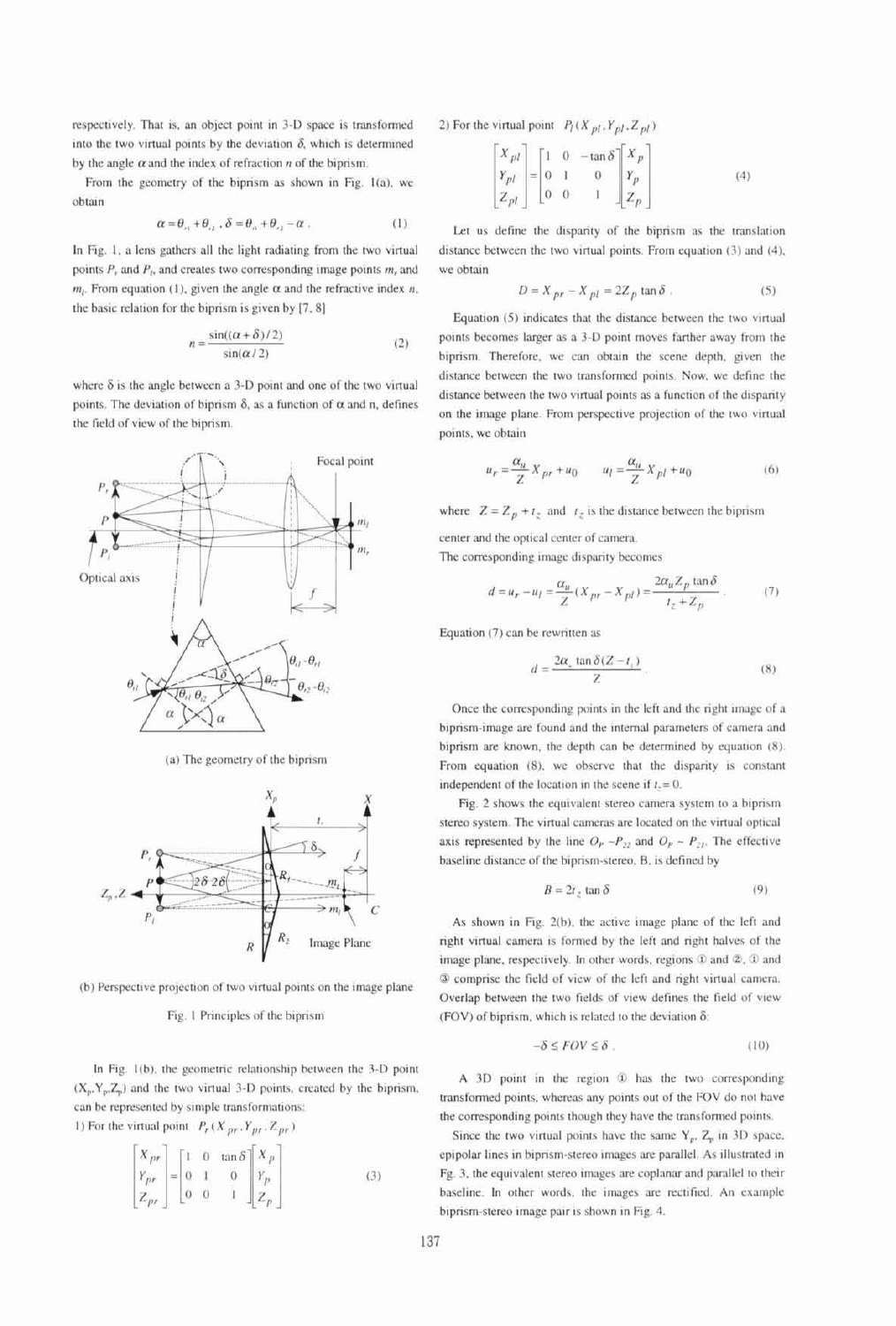respectively. That is, an object point in 3-D space is transformed into the two virtual points by the deviation  $\delta$ , which is determined by the angle  $\alpha$  and the index of refraction  $n$  of the biprism.

From the geometry of the biprism as shown in Fig. 1(a), we obtain

$$
\alpha = \theta_{1} + \theta_{2}, \ \delta = \theta_{1} + \theta_{2} - \alpha \ . \tag{1}
$$

In Fig. 1, a lens gathers all the light radiating from the two virtual points  $P$ , and  $P$ , and creates two corresponding image points  $m$ , and  $m_l$ . From equation (1), given the angle  $\alpha$  and the refractive index n, the basic relation for the biprism is given by [7, 8]

$$
n = \frac{\sin((\alpha + \delta)/2)}{\sin(\alpha/2)}
$$
 (2)

where  $\delta$  is the angle between a 3-D point and one of the two virtual points. The deviation of biprism  $\delta$ , as a function of  $\alpha$  and n, defines the field of view of the biprism.



(a) The geometry of the biprism



(b) Perspective projection of two virtual points on the image plane

#### Fig. 1 Principles of the biprism

In Fig. 1(b), the geometric relationship between the 3-D point  $(X_p, Y_p, Z_p)$  and the two virtual 3-D points, created by the biprism, can be represented by simple transformations: 1) For the virtual point  $P_r(X_{pr}, Y_{pr}, Z_{pr})$ 

$$
\begin{bmatrix} X_{pr} \\ Y_{pr} \\ Z_{pr} \end{bmatrix} = \begin{bmatrix} 1 & 0 & \tan \delta \\ 0 & 1 & 0 \\ 0 & 0 & 1 \end{bmatrix} \begin{bmatrix} X_p \\ Y_p \\ Z_p \end{bmatrix}
$$
 (3)

2) For the virtual point  $P_l(X_{pl}, Y_{pl}, Z_{pl})$ 

$$
\begin{bmatrix} X_{pl} \\ Y_{pl} \\ Z_{pl} \end{bmatrix} = \begin{bmatrix} 1 & 0 & -\tan \delta \\ 0 & 1 & 0 \\ 0 & 0 & 1 \end{bmatrix} \begin{bmatrix} X_p \\ Y_p \\ Z_p \end{bmatrix}
$$
 (4)

Let us define the disparity of the biprism as the translation distance between the two virtual points. From equation (3) and (4), we obtain

$$
D = X_{pr} - X_{pl} = 2Z_p \tan \delta . \tag{5}
$$

Equation (5) indicates that the distance between the two virtual points becomes larger as a 3-D point moves farther away from the biprism. Therefore, we can obtain the scene depth, given the distance between the two transformed points. Now, we define the distance between the two virtual points as a function of the disparity on the image plane. From perspective projection of the two virtual points, we obtain

$$
u_r = \frac{\alpha_u}{Z} X_{pr} + u_0 \qquad u_l = \frac{\alpha_u}{Z} X_{pl} + u_0 \tag{6}
$$

where  $Z = Z_p + t_z$  and  $t_z$  is the distance between the biprism

center and the optical center of camera.

The corresponding image disparity becomes

$$
d = u_r - u_l = \frac{\alpha_u}{Z}(X_{pr} - X_{pl}) = \frac{2\alpha_u Z_p \tan \delta}{t_z + Z_p} \,. \tag{7}
$$

Equation (7) can be rewritten as

$$
d = \frac{2\alpha_* \tan \delta (Z - t_i)}{Z} \tag{8}
$$

Once the corresponding points in the left and the right image of a biprism-image are found and the internal parameters of camera and biprism are known, the depth can be determined by equation (8). From equation (8), we observe that the disparity is constant independent of the location in the scene if  $t = 0$ .

Fig. 2 shows the equivalent stereo camera system to a biprism stereo system. The virtual cameras are located on the virtual optical axis represented by the line  $O_p \rightarrow P_{22}$  and  $O_p \rightarrow P_{21}$ . The effective baseline distance of the biprism-stereo, B, is defined by

$$
B = 2t_z \tan \delta \tag{9}
$$

As shown in Fig. 2(b), the active image plane of the left and right virtual camera is formed by the left and right halves of the image plane, respectively. In other words, regions  $\Phi$  and  $\Phi$ ,  $\Phi$  and 3 comprise the field of view of the left and right virtual camera. Overlap between the two fields of view defines the field of view (FOV) of biprism, which is related to the deviation  $\delta$ :

$$
-\delta \le FOV \le \delta \tag{10}
$$

A 3D point in the region 1 has the two corresponding transformed points, whereas any points out of the FOV do not have the corresponding points though they have the transformed points.

Since the two virtual points have the same  $Y_p$ ,  $Z_p$  in 3D space, epipolar lines in biprism-stereo images are parallel. As illustrated in Fg. 3, the equivalent stereo images are coplanar and parallel to their baseline. In other words, the images are rectified. An example biprism-stereo image pair is shown in Fig. 4.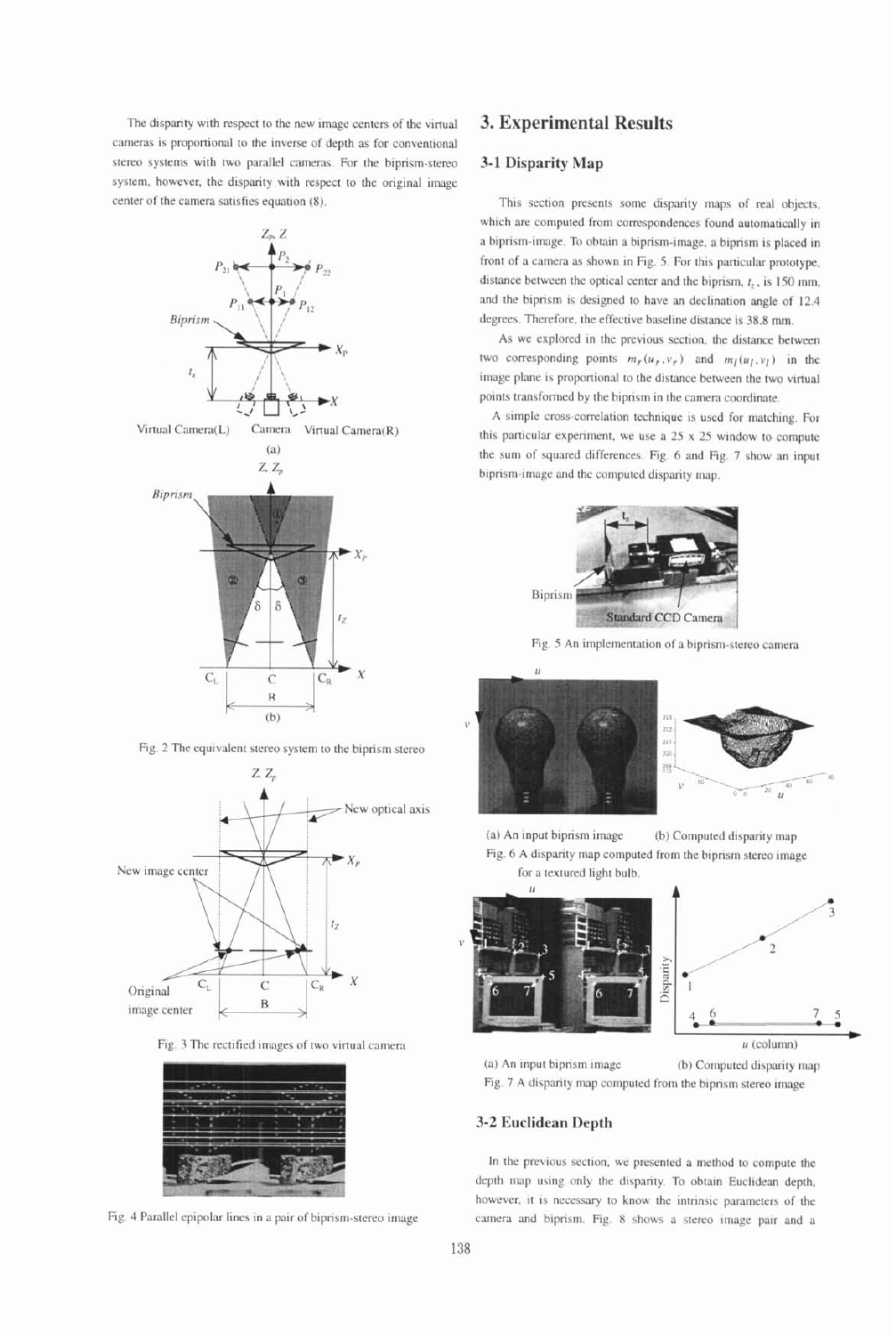The disparity with respect to the new image centers of the virtual cameras is proportional to the inverse of depth as for conventional stereo systems with two parallel cameras. For the biprism-stereo system, however. the disparity with respect to the original image center of the camera satisfies equation (8).



Fig. 2 The equivalent stereo system to the biprism stereo



Fig. 3 The rectified images of two virtual camera **u** (column)



Fig. 4 Parallel epipolar lines in a pair of biprism-stereo image

# **3. Experimental Results**

### **3-1 Disparity Map**

This section presents some disparity maps of real objects. which are computed from correspondences found automatically in a biprism-image. To obtain a biprism-image, a biprism is placed in front of a camera as shown in Fig. 5. For this particular prototype, distance between the optical center and the biprism,  $t$ , is 150 mm, and the biprism 1s designed to have an declination angle of 12.4 degrees. Therefore, the effective baseline distance is 38.8 mm.

As we explored in the previous section, the distance between two corresponding points  $m_r(u_r,v_r)$  and  $m_l(u_l,v_l)$  in the image plane is proportional to the distance between the two virtual points transformed by the biprism in the camera coordinate.

A simple cross-correlation technique is used for matching. For this particular experiment, we use a 25 x 25 window to compute the sum of squared differences. Fig. 6 and Fig. 7 show an input biprism-image and the computed disparity map.







(a) An input biprism image (b) Computed disparity map Fig. 6 A disparity map computed from the biprism stereo image for a textured light bulb.





(a) An Input biprism image (b) Computed disparity map Fig. 7 A disparity map computed from the biprism stereo image

#### **3-2 Euclidean Depth**

In the previous section, we presented a method to compute the depth map using only the disparity. To obtain Euclidean depth, however, it is necessary to know the intrinsic parameters of the camera and biprism. Fig. 8 shows a stereo image pair and a